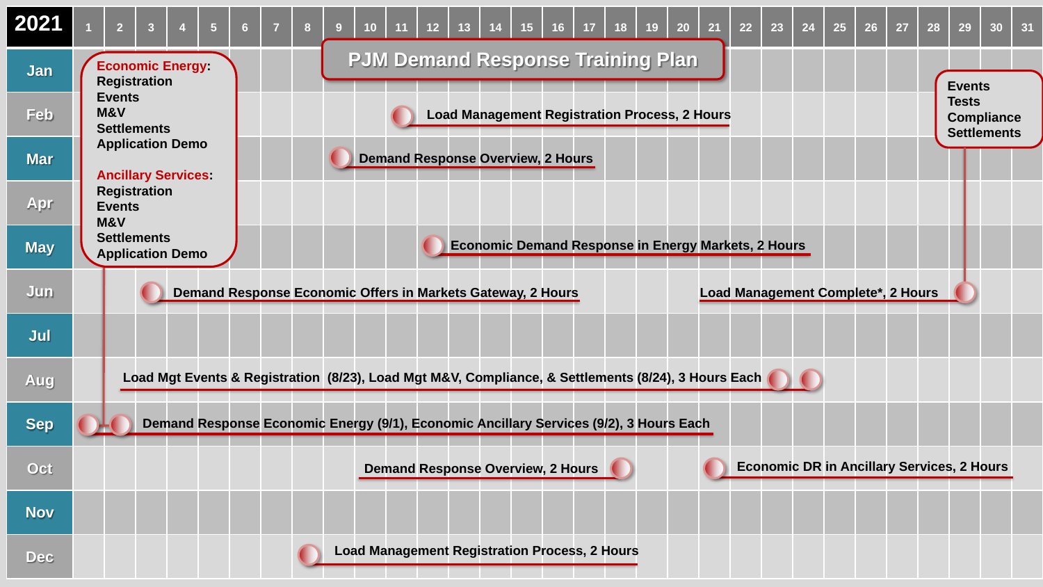| 2021       | $\overline{2}$                                                                                      | 3                                                                                      | 5 | $6 \overline{6}$ |                                                            | 8 | 9 <sup>°</sup>                           | 10 <sup>°</sup>                                             |  | 12 <sub>2</sub> | 13                                                   |  | 15 <sub>1</sub> | 16 | 17 | 18 | 19                                                | <b>20</b> | 21                                 | 22 | 23 | 24 | 25 | 26 | 27                                                      | 28 | 29            | 30 <sub>2</sub> | 31 |
|------------|-----------------------------------------------------------------------------------------------------|----------------------------------------------------------------------------------------|---|------------------|------------------------------------------------------------|---|------------------------------------------|-------------------------------------------------------------|--|-----------------|------------------------------------------------------|--|-----------------|----|----|----|---------------------------------------------------|-----------|------------------------------------|----|----|----|----|----|---------------------------------------------------------|----|---------------|-----------------|----|
| Jan        |                                                                                                     | <b>Economic Energy:</b><br><b>Registration</b>                                         |   |                  |                                                            |   |                                          |                                                             |  |                 | <b>PJM Demand Response Training Plan</b>             |  |                 |    |    |    |                                                   |           |                                    |    |    |    |    |    |                                                         |    | <b>Events</b> |                 |    |
| <b>Feb</b> | <b>Events</b><br>M&V<br><b>Settlements</b>                                                          |                                                                                        |   |                  | <b>Load Management Registration Process, 2 Hours</b>       |   |                                          |                                                             |  |                 |                                                      |  |                 |    |    |    |                                                   |           |                                    |    |    |    |    |    | <b>Tests</b><br><b>Compliance</b><br><b>Settlements</b> |    |               |                 |    |
| <b>Mar</b> |                                                                                                     | <b>Application Demo</b><br><b>Ancillary Services</b>                                   |   |                  | <b>Demand Response Overview, 2 Hours</b>                   |   |                                          |                                                             |  |                 |                                                      |  |                 |    |    |    |                                                   |           |                                    |    |    |    |    |    |                                                         |    |               |                 |    |
| Apr        | <b>Events</b><br>M&V                                                                                | <b>Registration</b>                                                                    |   |                  |                                                            |   |                                          |                                                             |  |                 |                                                      |  |                 |    |    |    |                                                   |           |                                    |    |    |    |    |    |                                                         |    |               |                 |    |
| <b>May</b> | <b>Settlements</b>                                                                                  | <b>Application Demo</b>                                                                |   |                  | <b>Economic Demand Response in Energy Markets, 2 Hours</b> |   |                                          |                                                             |  |                 |                                                      |  |                 |    |    |    |                                                   |           |                                    |    |    |    |    |    |                                                         |    |               |                 |    |
| Jun        |                                                                                                     |                                                                                        |   |                  |                                                            |   |                                          | Demand Response Economic Offers in Markets Gateway, 2 Hours |  |                 |                                                      |  |                 |    |    |    |                                                   |           | Load Management Complete*, 2 Hours |    |    |    |    |    |                                                         |    |               |                 |    |
| Jul        |                                                                                                     |                                                                                        |   |                  |                                                            |   |                                          |                                                             |  |                 |                                                      |  |                 |    |    |    |                                                   |           |                                    |    |    |    |    |    |                                                         |    |               |                 |    |
| Aug        | Load Mgt Events & Registration (8/23), Load Mgt M&V, Compliance, & Settlements (8/24), 3 Hours Each |                                                                                        |   |                  |                                                            |   |                                          |                                                             |  |                 |                                                      |  |                 |    |    |    |                                                   |           |                                    |    |    |    |    |    |                                                         |    |               |                 |    |
| <b>Sep</b> |                                                                                                     | Demand Response Economic Energy (9/1), Economic Ancillary Services (9/2), 3 Hours Each |   |                  |                                                            |   |                                          |                                                             |  |                 |                                                      |  |                 |    |    |    |                                                   |           |                                    |    |    |    |    |    |                                                         |    |               |                 |    |
| Oct        |                                                                                                     |                                                                                        |   |                  |                                                            |   | <b>Demand Response Overview, 2 Hours</b> |                                                             |  |                 |                                                      |  |                 |    |    |    | <b>Economic DR in Ancillary Services, 2 Hours</b> |           |                                    |    |    |    |    |    |                                                         |    |               |                 |    |
| <b>Nov</b> |                                                                                                     |                                                                                        |   |                  |                                                            |   |                                          |                                                             |  |                 |                                                      |  |                 |    |    |    |                                                   |           |                                    |    |    |    |    |    |                                                         |    |               |                 |    |
| <b>Dec</b> |                                                                                                     |                                                                                        |   |                  |                                                            |   |                                          |                                                             |  |                 | <b>Load Management Registration Process, 2 Hours</b> |  |                 |    |    |    |                                                   |           |                                    |    |    |    |    |    |                                                         |    |               |                 |    |